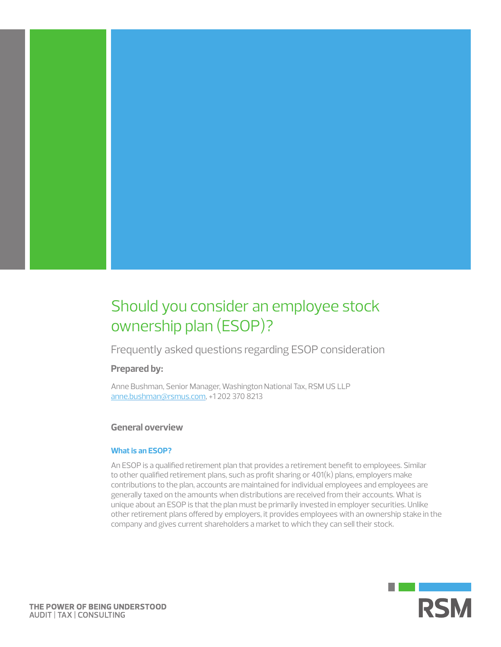

Frequently asked questions regarding ESOP consideration

# **Prepared by:**

Anne Bushman, Senior Manager, Washington National Tax, RSM US LLP ann[e.bushman@rsmus.com](mailto:anne.bushman%40rsmus.com?subject=), +1 202 370 8213

# **General overview**

### **What is an ESOP?**

An ESOP is a qualified retirement plan that provides a retirement benefit to employees. Similar to other qualified retirement plans, such as profit sharing or 401(k) plans, employers make contributions to the plan, accounts are maintained for individual employees and employees are generally taxed on the amounts when distributions are received from their accounts. What is unique about an ESOP is that the plan must be primarily invested in employer securities. Unlike other retirement plans offered by employers, it provides employees with an ownership stake in the company and gives current shareholders a market to which they can sell their stock.

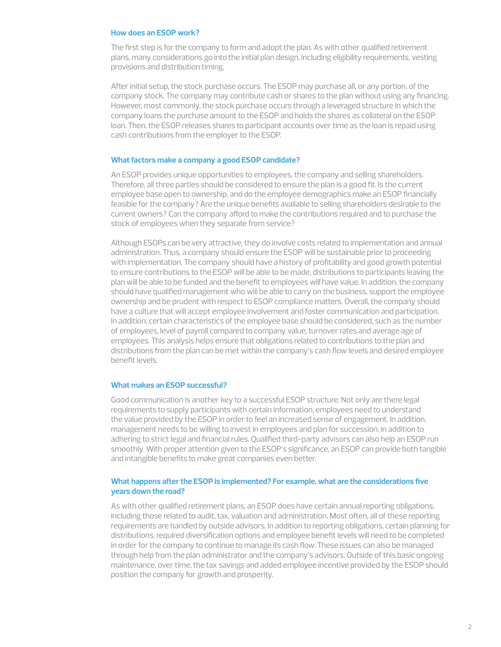### **How does an ESOP work?**

The first step is for the company to form and adopt the plan. As with other qualified retirement plans, many considerations go into the initial plan design, including eligibility requirements, vesting provisions and distribution timing.

After initial setup, the stock purchase occurs. The ESOP may purchase all, or any portion, of the company stock. The company may contribute cash or shares to the plan without using any financing. However, most commonly, the stock purchase occurs through a leveraged structure in which the company loans the purchase amount to the ESOP and holds the shares as collateral on the ESOP loan. Then, the ESOP releases shares to participant accounts over time as the loan is repaid using cash contributions from the employer to the ESOP.

### **What factors make a company a good ESOP candidate?**

An ESOP provides unique opportunities to employees, the company and selling shareholders. Therefore, all three parties should be considered to ensure the plan is a good fit. Is the current employee base open to ownership, and do the employee demographics make an ESOP financially feasible for the company? Are the unique benefits available to selling shareholders desirable to the current owners? Can the company afford to make the contributions required and to purchase the stock of employees when they separate from service?

Although ESOPs can be very attractive, they do involve costs related to implementation and annual administration. Thus, a company should ensure the ESOP will be sustainable prior to proceeding with implementation. The company should have a history of profitability and good growth potential to ensure contributions to the ESOP will be able to be made, distributions to participants leaving the plan will be able to be funded and the benefit to employees will have value. In addition, the company should have qualified management who will be able to carry on the business, support the employee ownership and be prudent with respect to ESOP compliance matters. Overall, the company should have a culture that will accept employee involvement and foster communication and participation. In addition, certain characteristics of the employee base should be considered, such as the number of employees, level of payroll compared to company value, turnover rates and average age of employees. This analysis helps ensure that obligations related to contributions to the plan and distributions from the plan can be met within the company's cash flow levels and desired employee benefit levels.

### **What makes an ESOP successful?**

Good communication is another key to a successful ESOP structure. Not only are there legal requirements to supply participants with certain information, employees need to understand the value provided by the ESOP in order to feel an increased sense of engagement. In addition, management needs to be willing to invest in employees and plan for succession, in addition to adhering to strict legal and financial rules. Qualified third-party advisors can also help an ESOP run smoothly. With proper attention given to the ESOP's significance, an ESOP can provide both tangible and intangible benefits to make great companies even better.

## **What happens after the ESOP is implemented? For example, what are the considerations five years down the road?**

As with other qualified retirement plans, an ESOP does have certain annual reporting obligations, including those related to audit, tax, valuation and administration. Most often, all of these reporting requirements are handled by outside advisors. In addition to reporting obligations, certain planning for distributions, required diversification options and employee benefit levels will need to be completed in order for the company to continue to manage its cash flow. These issues can also be managed through help from the plan administrator and the company's advisors. Outside of this basic ongoing maintenance, over time, the tax savings and added employee incentive provided by the ESOP should position the company for growth and prosperity.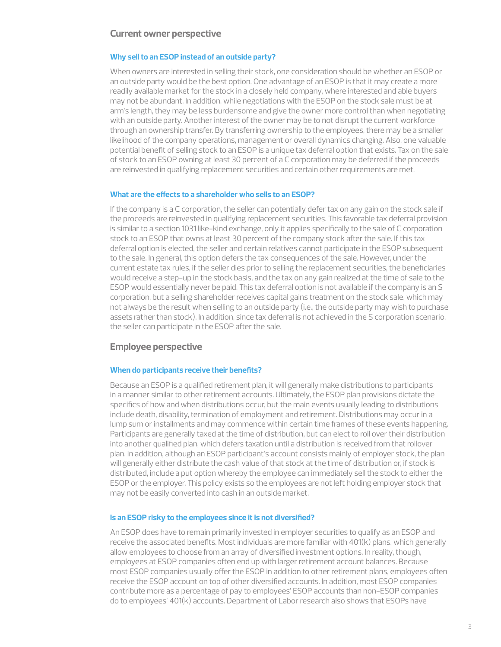### **Current owner perspective**

### **Why sell to an ESOP instead of an outside party?**

When owners are interested in selling their stock, one consideration should be whether an ESOP or an outside party would be the best option. One advantage of an ESOP is that it may create a more readily available market for the stock in a closely held company, where interested and able buyers may not be abundant. In addition, while negotiations with the ESOP on the stock sale must be at arm's length, they may be less burdensome and give the owner more control than when negotiating with an outside party. Another interest of the owner may be to not disrupt the current workforce through an ownership transfer. By transferring ownership to the employees, there may be a smaller likelihood of the company operations, management or overall dynamics changing. Also, one valuable potential benefit of selling stock to an ESOP is a unique tax deferral option that exists. Tax on the sale of stock to an ESOP owning at least 30 percent of a C corporation may be deferred if the proceeds are reinvested in qualifying replacement securities and certain other requirements are met.

#### **What are the effects to a shareholder who sells to an ESOP?**

If the company is a C corporation, the seller can potentially defer tax on any gain on the stock sale if the proceeds are reinvested in qualifying replacement securities. This favorable tax deferral provision is similar to a section 1031 like-kind exchange, only it applies specifically to the sale of C corporation stock to an ESOP that owns at least 30 percent of the company stock after the sale. If this tax deferral option is elected, the seller and certain relatives cannot participate in the ESOP subsequent to the sale. In general, this option defers the tax consequences of the sale. However, under the current estate tax rules, if the seller dies prior to selling the replacement securities, the beneficiaries would receive a step-up in the stock basis, and the tax on any gain realized at the time of sale to the ESOP would essentially never be paid. This tax deferral option is not available if the company is an S corporation, but a selling shareholder receives capital gains treatment on the stock sale, which may not always be the result when selling to an outside party (i.e., the outside party may wish to purchase assets rather than stock). In addition, since tax deferral is not achieved in the S corporation scenario, the seller can participate in the ESOP after the sale.

### **Employee perspective**

#### **When do participants receive their benefits?**

Because an ESOP is a qualified retirement plan, it will generally make distributions to participants in a manner similar to other retirement accounts. Ultimately, the ESOP plan provisions dictate the specifics of how and when distributions occur, but the main events usually leading to distributions include death, disability, termination of employment and retirement. Distributions may occur in a lump sum or installments and may commence within certain time frames of these events happening. Participants are generally taxed at the time of distribution, but can elect to roll over their distribution into another qualified plan, which defers taxation until a distribution is received from that rollover plan. In addition, although an ESOP participant's account consists mainly of employer stock, the plan will generally either distribute the cash value of that stock at the time of distribution or, if stock is distributed, include a put option whereby the employee can immediately sell the stock to either the ESOP or the employer. This policy exists so the employees are not left holding employer stock that may not be easily converted into cash in an outside market.

### **Is an ESOP risky to the employees since it is not diversified?**

An ESOP does have to remain primarily invested in employer securities to qualify as an ESOP and receive the associated benefits. Most individuals are more familiar with 401(k) plans, which generally allow employees to choose from an array of diversified investment options. In reality, though, employees at ESOP companies often end up with larger retirement account balances. Because most ESOP companies usually offer the ESOP in addition to other retirement plans, employees often receive the ESOP account on top of other diversified accounts. In addition, most ESOP companies contribute more as a percentage of pay to employees' ESOP accounts than non-ESOP companies do to employees' 401(k) accounts. Department of Labor research also shows that ESOPs have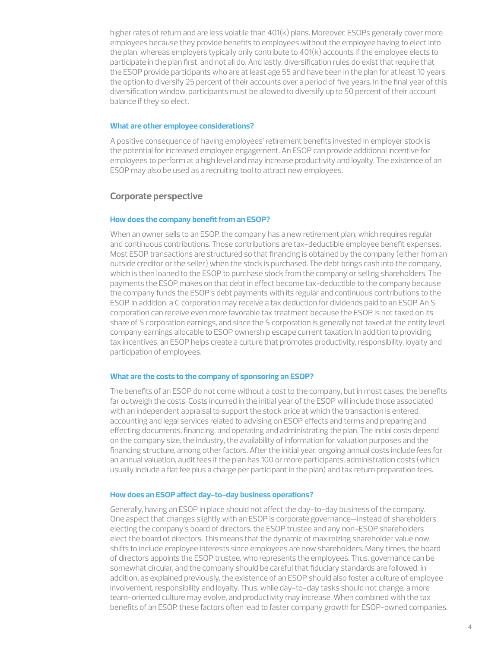higher rates of return and are less volatile than 401(k) plans. Moreover, ESOPs generally cover more employees because they provide benefits to employees without the employee having to elect into the plan, whereas employers typically only contribute to 401(k) accounts if the employee elects to participate in the plan first, and not all do. And lastly, diversification rules do exist that require that the ESOP provide participants who are at least age 55 and have been in the plan for at least 10 years the option to diversify 25 percent of their accounts over a period of five years. In the final year of this diversification window, participants must be allowed to diversify up to 50 percent of their account balance if they so elect.

### **What are other employee considerations?**

A positive consequence of having employees' retirement benefits invested in employer stock is the potential for increased employee engagement. An ESOP can provide additional incentive for employees to perform at a high level and may increase productivity and loyalty. The existence of an ESOP may also be used as a recruiting tool to attract new employees.

## **Corporate perspective**

### **How does the company benefit from an ESOP?**

When an owner sells to an ESOP, the company has a new retirement plan, which requires regular and continuous contributions. Those contributions are tax-deductible employee benefit expenses. Most ESOP transactions are structured so that financing is obtained by the company (either from an outside creditor or the seller) when the stock is purchased. The debt brings cash into the company, which is then loaned to the ESOP to purchase stock from the company or selling shareholders. The payments the ESOP makes on that debt in effect become tax-deductible to the company because the company funds the ESOP's debt payments with its regular and continuous contributions to the ESOP. In addition, a C corporation may receive a tax deduction for dividends paid to an ESOP. An S corporation can receive even more favorable tax treatment because the ESOP is not taxed on its share of S corporation earnings, and since the S corporation is generally not taxed at the entity level, company earnings allocable to ESOP ownership escape current taxation. In addition to providing tax incentives, an ESOP helps create a culture that promotes productivity, responsibility, loyalty and participation of employees.

### **What are the costs to the company of sponsoring an ESOP?**

The benefits of an ESOP do not come without a cost to the company, but in most cases, the benefits far outweigh the costs. Costs incurred in the initial year of the ESOP will include those associated with an independent appraisal to support the stock price at which the transaction is entered, accounting and legal services related to advising on ESOP effects and terms and preparing and effecting documents, financing, and operating and administrating the plan. The initial costs depend on the company size, the industry, the availability of information for valuation purposes and the financing structure, among other factors. After the initial year, ongoing annual costs include fees for an annual valuation, audit fees if the plan has 100 or more participants, administration costs (which usually include a flat fee plus a charge per participant in the plan) and tax return preparation fees.

### **How does an ESOP affect day-to-day business operations?**

Generally, having an ESOP in place should not affect the day-to-day business of the company. One aspect that changes slightly with an ESOP is corporate governance—instead of shareholders electing the company's board of directors, the ESOP trustee and any non-ESOP shareholders elect the board of directors. This means that the dynamic of maximizing shareholder value now shifts to include employee interests since employees are now shareholders. Many times, the board of directors appoints the ESOP trustee, who represents the employees. Thus, governance can be somewhat circular, and the company should be careful that fiduciary standards are followed. In addition, as explained previously, the existence of an ESOP should also foster a culture of employee involvement, responsibility and loyalty. Thus, while day-to-day tasks should not change, a more team-oriented culture may evolve, and productivity may increase. When combined with the tax benefits of an ESOP, these factors often lead to faster company growth for ESOP-owned companies.